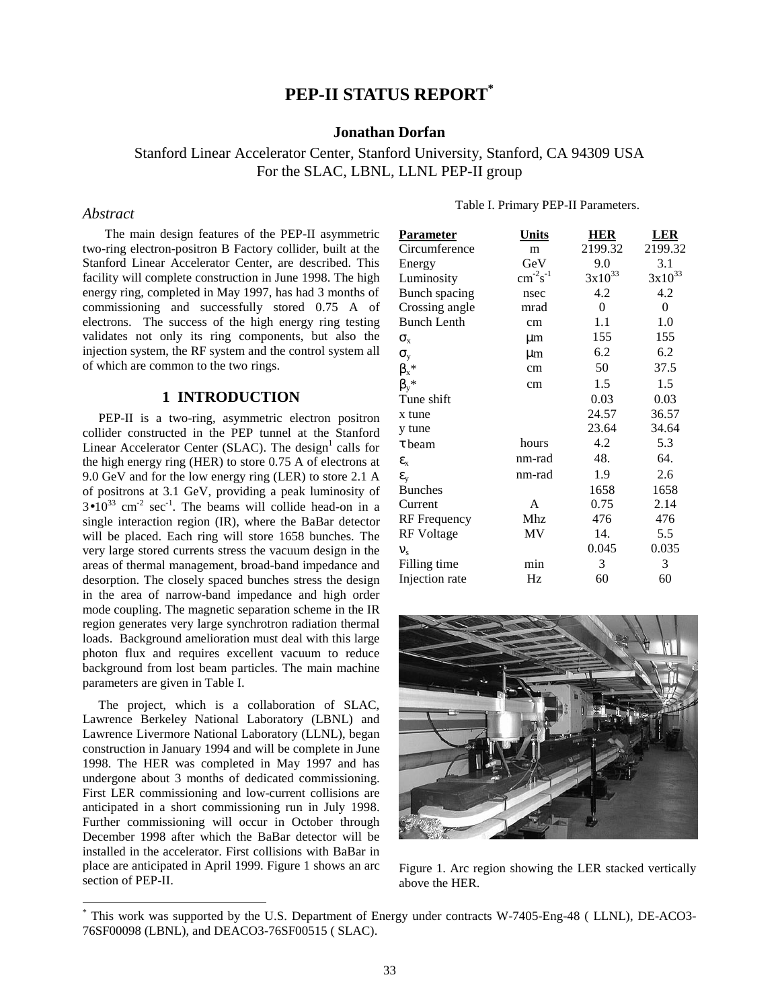## **PEP-II STATUS REPORT\***

## **Jonathan Dorfan**

Stanford Linear Accelerator Center, Stanford University, Stanford, CA 94309 USA For the SLAC, LBNL, LLNL PEP-II group

#### *Abstract*

1

 The main design features of the PEP-II asymmetric two-ring electron-positron B Factory collider, built at the Stanford Linear Accelerator Center, are described. This facility will complete construction in June 1998. The high energy ring, completed in May 1997, has had 3 months of commissioning and successfully stored 0.75 A of electrons. The success of the high energy ring testing validates not only its ring components, but also the injection system, the RF system and the control system all of which are common to the two rings.

### **1 INTRODUCTION**

 PEP-II is a two-ring, asymmetric electron positron collider constructed in the PEP tunnel at the Stanford Linear Accelerator Center (SLAC). The design<sup>1</sup> calls for the high energy ring (HER) to store 0.75 A of electrons at 9.0 GeV and for the low energy ring (LER) to store 2.1 A of positrons at 3.1 GeV, providing a peak luminosity of  $3\bullet 10^{33}$  cm<sup>-2</sup> sec<sup>-1</sup>. The beams will collide head-on in a single interaction region (IR), where the BaBar detector will be placed. Each ring will store 1658 bunches. The very large stored currents stress the vacuum design in the areas of thermal management, broad-band impedance and desorption. The closely spaced bunches stress the design in the area of narrow-band impedance and high order mode coupling. The magnetic separation scheme in the IR region generates very large synchrotron radiation thermal loads. Background amelioration must deal with this large photon flux and requires excellent vacuum to reduce background from lost beam particles. The main machine parameters are given in Table I.

 The project, which is a collaboration of SLAC, Lawrence Berkeley National Laboratory (LBNL) and Lawrence Livermore National Laboratory (LLNL), began construction in January 1994 and will be complete in June 1998. The HER was completed in May 1997 and has undergone about 3 months of dedicated commissioning. First LER commissioning and low-current collisions are anticipated in a short commissioning run in July 1998. Further commissioning will occur in October through December 1998 after which the BaBar detector will be installed in the accelerator. First collisions with BaBar in place are anticipated in April 1999. Figure 1 shows an arc section of PEP-II.

| <u>Parameter</u>     | <u>Units</u>    | <b>HER</b>       | <u>LER</u>  |
|----------------------|-----------------|------------------|-------------|
| Circumference        | m               | 2199.32          | 2199.32     |
| Energy               | GeV             | 9.0              | 3.1         |
| Luminosity           | $cm^{-2}s^{-1}$ | $3x10^{33}$      | $3x10^{33}$ |
| <b>Bunch</b> spacing | nsec            | 4.2              | 4.2         |
| Crossing angle       | mrad            | $\boldsymbol{0}$ | 0           |
| <b>Bunch Lenth</b>   | cm              | 1.1              | 1.0         |
| $\sigma_{\rm x}$     | μm              | 155              | 155         |
| $\sigma_{y}$         | µm              | 6.2              | 6.2         |
| $\beta_x^*$          | cm              | 50               | 37.5        |
| $\beta_v^*$          | cm              | 1.5              | 1.5         |
| Tune shift           |                 | 0.03             | 0.03        |
| x tune               |                 | 24.57            | 36.57       |
| y tune               |                 | 23.64            | 34.64       |
| $\tau$ beam          | hours           | 4.2              | 5.3         |
| $\epsilon_{\rm x}$   | nm-rad          | 48.              | 64.         |
| $\epsilon_{\rm v}$   | nm-rad          | 1.9              | 2.6         |
| <b>Bunches</b>       |                 | 1658             | 1658        |
| Current              | A               | 0.75             | 2.14        |
| RF Frequency         | Mhz             | 476              | 476         |
| <b>RF</b> Voltage    | MV              | 14.              | 5.5         |
| ${\bf V}_s$          |                 | 0.045            | 0.035       |
| Filling time         | min             | 3                | 3           |
| Injection rate       | Hz              | 60               | 60          |
|                      |                 |                  |             |



Figure 1. Arc region showing the LER stacked vertically above the HER.

Table I. Primary PEP-II Parameters.

<sup>\*</sup> This work was supported by the U.S. Department of Energy under contracts W-7405-Eng-48 ( LLNL), DE-ACO3- 76SF00098 (LBNL), and DEACO3-76SF00515 ( SLAC).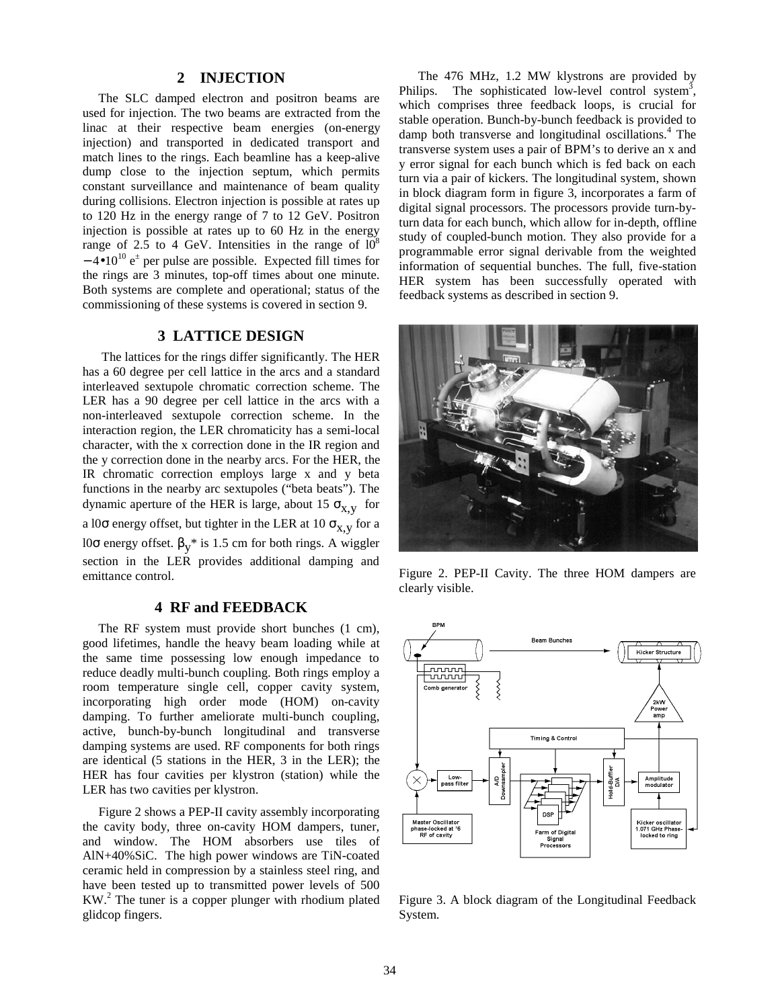#### **2 INJECTION**

 The SLC damped electron and positron beams are used for injection. The two beams are extracted from the linac at their respective beam energies (on-energy injection) and transported in dedicated transport and match lines to the rings. Each beamline has a keep-alive dump close to the injection septum, which permits constant surveillance and maintenance of beam quality during collisions. Electron injection is possible at rates up to 120 Hz in the energy range of 7 to 12 GeV. Positron injection is possible at rates up to 60 Hz in the energy range of 2.5 to 4 GeV. Intensities in the range of  $10^8$  $-4$ •10<sup>10</sup> e<sup> $\pm$ </sup> per pulse are possible. Expected fill times for the rings are 3 minutes, top-off times about one minute. Both systems are complete and operational; status of the commissioning of these systems is covered in section 9.

## **3 LATTICE DESIGN**

 The lattices for the rings differ significantly. The HER has a 60 degree per cell lattice in the arcs and a standard interleaved sextupole chromatic correction scheme. The LER has a 90 degree per cell lattice in the arcs with a non-interleaved sextupole correction scheme. In the interaction region, the LER chromaticity has a semi-local character, with the x correction done in the IR region and the y correction done in the nearby arcs. For the HER, the IR chromatic correction employs large x and y beta functions in the nearby arc sextupoles ("beta beats"). The dynamic aperture of the HER is large, about 15  $\sigma_{X,V}$  for a l0 $\sigma$  energy offset, but tighter in the LER at 10  $\sigma_{X,Y}$  for a l0σ energy offset.  $\beta_v^*$  is 1.5 cm for both rings. A wiggler section in the LER provides additional damping and emittance control.

## **4 RF and FEEDBACK**

 The RF system must provide short bunches (1 cm), good lifetimes, handle the heavy beam loading while at the same time possessing low enough impedance to reduce deadly multi-bunch coupling. Both rings employ a room temperature single cell, copper cavity system, incorporating high order mode (HOM) on-cavity damping. To further ameliorate multi-bunch coupling, active, bunch-by-bunch longitudinal and transverse damping systems are used. RF components for both rings are identical (5 stations in the HER, 3 in the LER); the HER has four cavities per klystron (station) while the LER has two cavities per klystron.

 Figure 2 shows a PEP-II cavity assembly incorporating the cavity body, three on-cavity HOM dampers, tuner, and window. The HOM absorbers use tiles of AlN+40%SiC. The high power windows are TiN-coated ceramic held in compression by a stainless steel ring, and have been tested up to transmitted power levels of 500 KW.<sup>2</sup> The tuner is a copper plunger with rhodium plated glidcop fingers.

 The 476 MHz, 1.2 MW klystrons are provided by Philips. The sophisticated low-level control system<sup>3</sup>, which comprises three feedback loops, is crucial for stable operation. Bunch-by-bunch feedback is provided to damp both transverse and longitudinal oscillations.<sup>4</sup> The transverse system uses a pair of BPM's to derive an x and y error signal for each bunch which is fed back on each turn via a pair of kickers. The longitudinal system, shown in block diagram form in figure 3, incorporates a farm of digital signal processors. The processors provide turn-byturn data for each bunch, which allow for in-depth, offline study of coupled-bunch motion. They also provide for a programmable error signal derivable from the weighted information of sequential bunches. The full, five-station HER system has been successfully operated with feedback systems as described in section 9.



Figure 2. PEP-II Cavity. The three HOM dampers are clearly visible.



Figure 3. A block diagram of the Longitudinal Feedback System.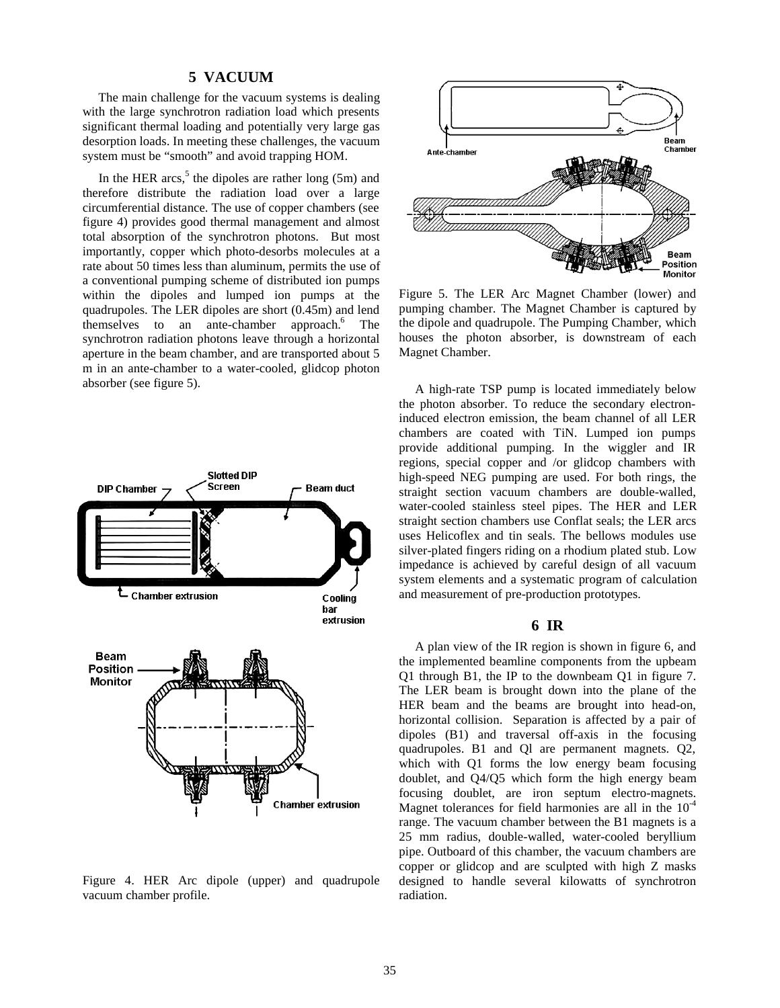#### **5 VACUUM**

 The main challenge for the vacuum systems is dealing with the large synchrotron radiation load which presents significant thermal loading and potentially very large gas desorption loads. In meeting these challenges, the vacuum system must be "smooth" and avoid trapping HOM.

In the HER arcs,<sup>5</sup> the dipoles are rather long (5m) and therefore distribute the radiation load over a large circumferential distance. The use of copper chambers (see figure 4) provides good thermal management and almost total absorption of the synchrotron photons. But most importantly, copper which photo-desorbs molecules at a rate about 50 times less than aluminum, permits the use of a conventional pumping scheme of distributed ion pumps within the dipoles and lumped ion pumps at the quadrupoles. The LER dipoles are short (0.45m) and lend themselves to an ante-chamber approach.<sup>6</sup> The synchrotron radiation photons leave through a horizontal aperture in the beam chamber, and are transported about 5 m in an ante-chamber to a water-cooled, glidcop photon absorber (see figure 5).



Figure 4. HER Arc dipole (upper) and quadrupole vacuum chamber profile.



Figure 5. The LER Arc Magnet Chamber (lower) and pumping chamber. The Magnet Chamber is captured by the dipole and quadrupole. The Pumping Chamber, which houses the photon absorber, is downstream of each Magnet Chamber.

 A high-rate TSP pump is located immediately below the photon absorber. To reduce the secondary electroninduced electron emission, the beam channel of all LER chambers are coated with TiN. Lumped ion pumps provide additional pumping. In the wiggler and IR regions, special copper and /or glidcop chambers with high-speed NEG pumping are used. For both rings, the straight section vacuum chambers are double-walled, water-cooled stainless steel pipes. The HER and LER straight section chambers use Conflat seals; the LER arcs uses Helicoflex and tin seals. The bellows modules use silver-plated fingers riding on a rhodium plated stub. Low impedance is achieved by careful design of all vacuum system elements and a systematic program of calculation and measurement of pre-production prototypes.

## **6 IR**

 A plan view of the IR region is shown in figure 6, and the implemented beamline components from the upbeam Q1 through B1, the IP to the downbeam Q1 in figure 7. The LER beam is brought down into the plane of the HER beam and the beams are brought into head-on, horizontal collision. Separation is affected by a pair of dipoles (B1) and traversal off-axis in the focusing quadrupoles. B1 and Ql are permanent magnets. Q2, which with Q1 forms the low energy beam focusing doublet, and Q4/Q5 which form the high energy beam focusing doublet, are iron septum electro-magnets. Magnet tolerances for field harmonies are all in the  $10^{-4}$ range. The vacuum chamber between the B1 magnets is a 25 mm radius, double-walled, water-cooled beryllium pipe. Outboard of this chamber, the vacuum chambers are copper or glidcop and are sculpted with high Z masks designed to handle several kilowatts of synchrotron radiation.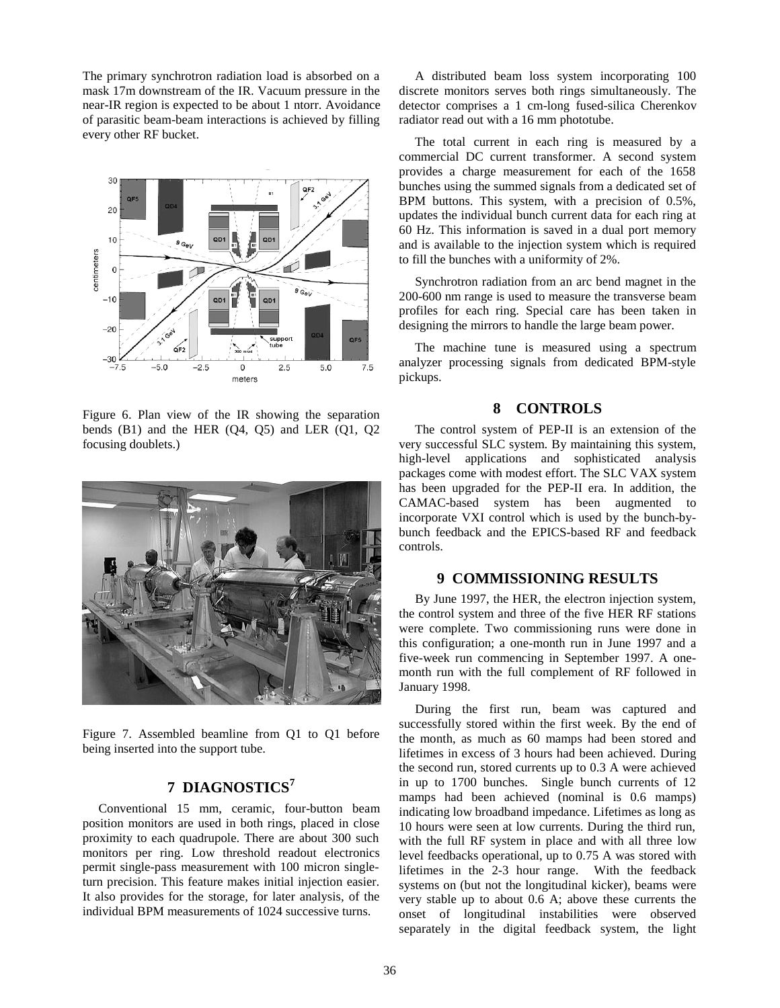The primary synchrotron radiation load is absorbed on a mask 17m downstream of the IR. Vacuum pressure in the near-IR region is expected to be about 1 ntorr. Avoidance of parasitic beam-beam interactions is achieved by filling every other RF bucket.



Figure 6. Plan view of the IR showing the separation bends  $(B1)$  and the HER  $(O4, O5)$  and LER  $(O1, O2)$ focusing doublets.)



Figure 7. Assembled beamline from Q1 to Q1 before being inserted into the support tube.

# **7 DIAGNOSTICS<sup>7</sup>**

 Conventional 15 mm, ceramic, four-button beam position monitors are used in both rings, placed in close proximity to each quadrupole. There are about 300 such monitors per ring. Low threshold readout electronics permit single-pass measurement with 100 micron singleturn precision. This feature makes initial injection easier. It also provides for the storage, for later analysis, of the individual BPM measurements of 1024 successive turns.

 A distributed beam loss system incorporating 100 discrete monitors serves both rings simultaneously. The detector comprises a 1 cm-long fused-silica Cherenkov radiator read out with a 16 mm phototube.

 The total current in each ring is measured by a commercial DC current transformer. A second system provides a charge measurement for each of the 1658 bunches using the summed signals from a dedicated set of BPM buttons. This system, with a precision of 0.5%, updates the individual bunch current data for each ring at 60 Hz. This information is saved in a dual port memory and is available to the injection system which is required to fill the bunches with a uniformity of 2%.

 Synchrotron radiation from an arc bend magnet in the 200-600 nm range is used to measure the transverse beam profiles for each ring. Special care has been taken in designing the mirrors to handle the large beam power.

 The machine tune is measured using a spectrum analyzer processing signals from dedicated BPM-style pickups.

### **8 CONTROLS**

 The control system of PEP-II is an extension of the very successful SLC system. By maintaining this system, high-level applications and sophisticated analysis packages come with modest effort. The SLC VAX system has been upgraded for the PEP-II era. In addition, the CAMAC-based system has been augmented to incorporate VXI control which is used by the bunch-bybunch feedback and the EPICS-based RF and feedback controls.

### **9 COMMISSIONING RESULTS**

 By June 1997, the HER, the electron injection system, the control system and three of the five HER RF stations were complete. Two commissioning runs were done in this configuration; a one-month run in June 1997 and a five-week run commencing in September 1997. A onemonth run with the full complement of RF followed in January 1998.

 During the first run, beam was captured and successfully stored within the first week. By the end of the month, as much as 60 mamps had been stored and lifetimes in excess of 3 hours had been achieved. During the second run, stored currents up to 0.3 A were achieved in up to 1700 bunches. Single bunch currents of 12 mamps had been achieved (nominal is 0.6 mamps) indicating low broadband impedance. Lifetimes as long as 10 hours were seen at low currents. During the third run, with the full RF system in place and with all three low level feedbacks operational, up to 0.75 A was stored with lifetimes in the 2-3 hour range. With the feedback systems on (but not the longitudinal kicker), beams were very stable up to about 0.6 A; above these currents the onset of longitudinal instabilities were observed separately in the digital feedback system, the light